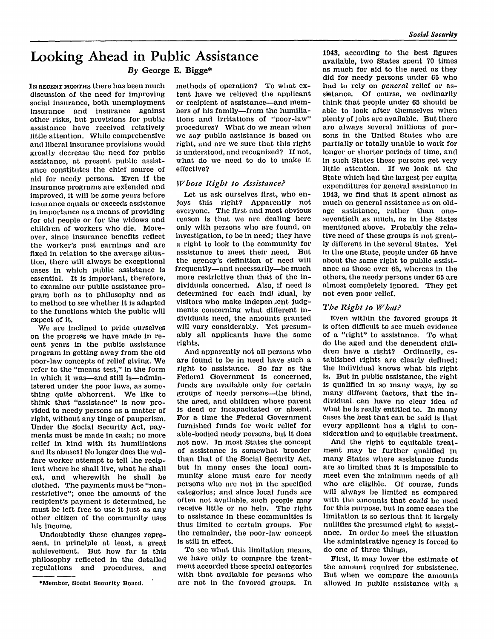# **Looking Ahead in Public Assistance**

# *By* **George E. Bigge\***

IN RECENT MONTHS there has been much discussion of the need for improving social insurance, both unemployment insurance and insurance against other risks, but provisions for public assistance have received relatively little attention. While comprehensive a nd liberal insurance provisions would greatly decrease the need for public assistance, at present public assistance constitutes the chief source of aid for needy persons. Even if the insurance programs are extended and improved, it will be some years before insurance equals or exceeds assistance in importance as a means of providing for old people or for the widows and children of workers who die. Moreover, since insurance benefits reflect the worker's past earnings and are fixed in relation to the average situation, there will always be exceptional cases in which public assistance is essential. It is important, therefore, to examine our public assistance program both as to philosophy and as to method to see whether it is adapted to the functions which the public will expect of it.

We are inclined to pride ourselves on the progress we have made in recent years in the public assistance program in getting away from the old poor-law concepts of relief giving. We refer to the "means test," in the form in which it was—and still is—administered under the poor laws, as something quite abhorrent. We like to think that "assistance" is now provided to needy persons as a matter of right, without any tinge of pauperism. Under the Social Security Act, payments must be made in cash; no more relief in kind with its humiliations a nd its abuses! No longer does the welfare worker attempt to tell the recipient where he shall live, what he shall eat, and wherewith he shall be clothed. The payments must be "nonrestrictive"; once the amount of the recipient's payment is determined, he must be left free to use it just as any other citizen of the community uses his income.

Undoubtedly these changes represent, in principle at least, a great achievement. But how far is this philosophy reflected in the detailed regulations and procedures, and

methods of operation? To what extent have we relieved the applicant or recipient of assistance—and members of his family—from the humiliations and irritations of "poor-law" procedures? What do we mean when we say public assistance is based on right, and are we sure that this right is understood, and recognized? If not, what do we need to do to make it effective?

### *Whose Right to Assistance?*

Let us ask ourselves first, who enjoys this right? Apparently not everyone. The first and most obvious reason is that we are dealing here only with persons who are found, on investigation, to be in need; they have a right to look to the community for assistance to meet their need. But t he agency's definition of need will frequently—and necessarily—be much more restrictive than that of the individuals concerned. Also, if need is determined for each indi idual, by visitors who make independent judgments concerning what different individuals need, the amounts granted will vary considerably. Yet presumably all applicants have the same rights.

And apparently not all persons who are found to be in need have such a right to assistance. So far as the Federal Government is concerned, funds are available only for certain groups of needy persons—the blind, the aged, and children whose parent is dead or incapacitated or absent. For a time the Federal Government furnished funds for work relief for able-bodied needy persons, but it does not now. In most States the concept of assistance is somewhat broader than that of the Social Security Act, but in many cases the local community alone must care for needy persons who are not in the specified categories; and since local funds are often not available, such people may receive little or no help. The right to assistance in these communities is thus limited to certain groups. For the remainder, the poor-law concept is still in effect.

To see what this limitation means, we have only to compare the treatment accorded these special categories with that available for persons who are not in the favored groups. In 1943, according to the best figures available, two States spent 70 times as much for aid to the aged as they did for needy persons under 65 who h ad to rely on *general* relief or assistance. Of course, we ordinarily think that people under 65 should be able to look after themselves when plenty of jobs are available. But there are always several millions of persons in the United States who are partially or totally unable to work for longer or shorter periods of time, and in such States these persons get very little attention. If we look at the State which had the largest per capita expenditures for general assistance in 1943, we find that it spent almost as much on general assistance as on oldage assistance, rather than oneseventieth as much, as in the States mentioned above. Probably the relative need of these groups is not greatly different in the several States. Yet in the one State, people under 65 have about the same right to public assistance as those over 65, whereas in the others, the needy persons under 65 are almost completely ignored. They get not even poor relief.

# *The Right to What?*

Even within the favored groups it is often difficult to see much evidence of a "right" to assistance. To what do the aged and the dependent children have a right? Ordinarily, established rights are clearly defined; the individual knows what his right is. But in public assistance, the right is qualified in so many ways, by so many different factors, that the individual can have no clear idea of what he is really entitled to. In many cases the best that can be said is that every applicant has a right to consideration and to equitable treatment.

And the right to equitable treatment may be further qualified in many States where assistance funds are so limited that it is impossible to meet even the minimum needs of all who are eligible. Of course, funds will always be limited as compared with the amounts that *could* be used for this purpose, but in some cases the limitation is so serious that it largely nullifies the presumed right to assistance. In order to meet the situation the administrative agency is forced to do one of three things.

First, it may lower the estimate of the amount required for subsistence. But when we compare the amounts allowed in public assistance with a

**<sup>\*</sup> Member, Social Security Board.**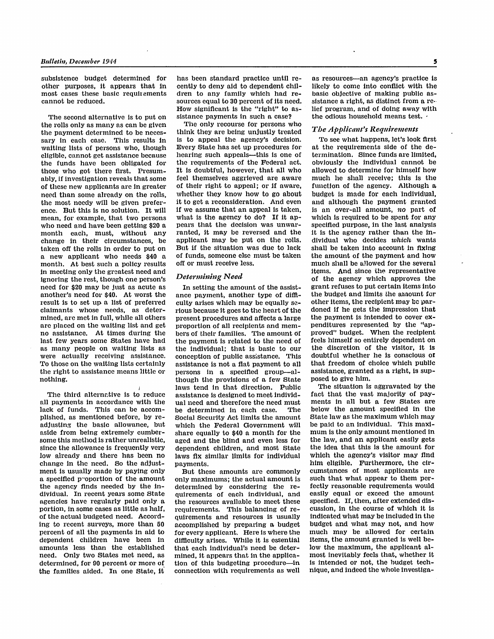**subsistence budget determined for other purposes, it appears that in most cases these basic requirements cannot be reduced.** 

**The second alternative is to put on the rolls only as many as can be given the payment determined to be neces**waiting lists of persons who, though eligible, cannot get assistance because the funds have been obligated for those who got there first. Presum**ably, if investigation reveals that some of these new applicants are in greater need than some already on the rolls, the most needy will be given preference. But this is no solution. It will mean, for example, that two persons who need and have been getting \$20 a**  change in their circumstances, be taken off the rolls in order to put on a new applicant who needs \$40 a month. At best such a policy results in meeting only the greatest need and ignoring the rest, though one person's **need for \$20 may be just as acute as another's need for \$40. At worst the result is to set up a list of preferred claimants whose needs, as determined, are met in full, while all others are placed on the waiting list and get no assistance. At times during the last few years some States have had as many people on waiting lists as were actually receiving assistance. To those on the waiting lists certainly the right to assistance means little or nothing.** 

**The third alternative is to reduce all payments in accordance with the lack of funds. This can be accomplished, as mentioned before, by readjusting the basic allowance, but aside from being extremely cumbersome this method is rather unrealistic, since the allowance is frequently very low already and there has been no change in the need. So the adjustment is usually made by paying only a specified proportion of the amount the agency finds needed by the individual. In recent years some State agencies have regularly paid only a portion, in some cases as little as half, of the actual budgeted need. According to recent surveys, more than 50 percent of all the payments in aid to dependent children have been in amounts less than the established need. Only two States met need, as determined, for 90 percent or more of the families aided. In one State, it** 

**has been standard practice until recently to deny aid to dependent children to any family which had resources equal to 30 percent of its need. How significant is the "right" to as-**

The only recourse for persons who<br>think they are being unjustly treated<br>is to appeal the agency's decision.<br>Every State has set up procedures for<br>hearing such appeals—this is one of<br>the requirements of the Federal act.<br>It whether they know how to go about it to get a reconsideration. And even if we assume that an appeal is taken, what is the agency to do? If it ap**pears that the decision was unwar**applicant may be put on the rolls.<br>But if the situation was due to lack **of funds, someone else must be taken off or must receive less.** 

#### *Determining Need*

**In setting the amount of the assistance payment, another type of difficulty arises which may be equally serious because it goes to the heart of the**  proportion of all recipients and members of their families. The amount of the payment is related to the need of the individual; that is basic to our conception of public assistance. This assistance is not a flat payment to all **persons in a specified group—although the provisions of a few State laws tend in that direction. Public assistance is designed to meet individ**be determined in each case. The Social Security Act limits the amount which the Federal Government will share equally to \$40 a month for the aged and the blind and even less for dependent children, and most State laws fix similar limits for individual payments.

**payments** are commonly only maximums; the actual amount is determined by considering the requirements of each individual, and the resources available to meet these requirements. This balancing of re**quirements and resources is usually accomplished by preparing a budget for every applicant. Here is where the difficulty arises. While it is essential that each individual's need be determined, it appears that in the application of this budgeting procedure—in connection with requirements as well** 

**as resources—an agency's practice is likely to come into conflict with the basic objective of making public assistance a right, as distinct from a re**the odious household means test.  $\cdot$ 

#### *The Applicant's Requirements*

**To see what happens, let's look first at the requirements side of the determination. Since funds are limited, obviously the individual cannot be allowed to determine for himself how much he shall receive; this is the function of the agency. Although a budget is made for each individual,**  is an over-all amount, *no* part of which is required to be spent for any specified purpose, in the last analysis it is the agency rather than the in**dividual who decides** *which* **wants shall be taken into account in fixing the amount of the payment and how much shall be allowed for the several items. And since the representative of the agency which approves the**  the budget and limits the amount for other items, the recipient may be par**doned if he gets the impression that the payment is intended to cover expenditures represented by the "ap**proved" budget. When the recipient<br>feels himself so entirely dependent on<br>the discretion of the visitor, it is<br>doubtful whether he is conscious of<br>that freedom of choice which public<br>assistance, granted as a right, is sup-

**posed to give him.**  fact that the vast majority of pay-<br>ments in all but a few States are below the amount specified in the State law as the maximum which may be paid to an individual. This maximum is the only amount mentioned in the law, and an applicant easily gets<br>the idea that this is the amount for<br>which the agency's visitor may find<br>him eligible. Furthermore, the cir**cumstances of most applicants are**  such that what appear to them per-<br>fectly reasonable requirements would **fective reasonable reasonable represed the amount specified. If, then, after extended discussion, in the course of which it is cussion, in the course of which it is indicated what may be included in the budget and what may not, and how much may be allowed for certain items, the amount granted is well below the maximum, the applicant almost inevitably feels that, whether it is intended or not, the budget technique, and indeed the whole investiga**-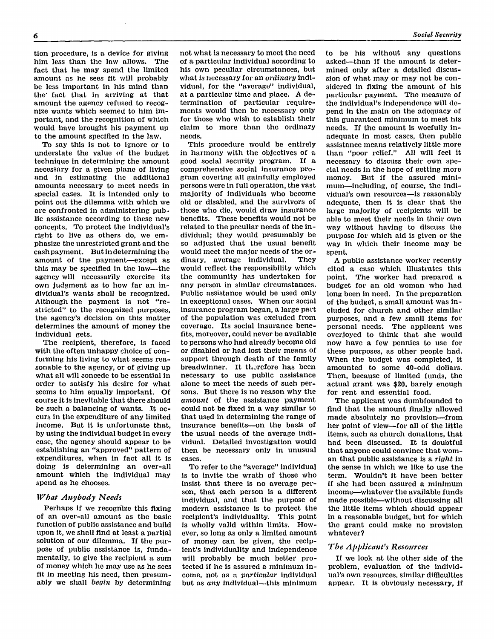tion procedure, is a device for giving him less than the law allows. The fact that he may spend the limited amount as he sees fit will probably be less important in his mind than the fact that in arriving at that amount the agency refused to recognize wants which seemed to him important, and the recognition of which would have brought his payment up to the amount specified in the law.

To say this is not to ignore or to understate the value of the budget technique in determining the amount necessary for a given plane of living and in estimating the additional amounts necessary to meet needs in special cases. It is intended only to point out the dilemma with which we are confronted in administering public assistance according to these new concepts. To protect the individual's right to live as others do, we emphasize the unrestricted grant and the cash payment. But in determining the amount of the payment—except as this may be specified in the law—the agency will necessarily exercise its own judgment as to how far an individual's wants shall be recognized. Although the payment is not "restricted" to the recognized purposes, the agency's decision on this matter determines the amount of money the individual gets.

The recipient, therefore, is faced with the often unhappy choice of conforming his living to what seems reasonable to the agency, or of giving up what all will concede to be essential in order to satisfy his desire for what seems to him equally important. Of course it is inevitable that there should be such a balancing of wants. It occurs in the expenditure of any limited income. But it is unfortunate that, by using the individual budget in every case, the agency should appear to be establishing an "approved" pattern of expenditures, when in fact all it is doing is determining an over-all amount which the individual may spend as he chooses.

## *What Anybody Needs*

Perhaps if we recognize this fixing of an over-all amount as the basic function of public assistance and build upon it, we shall find at least a partial solution of our dilemma. If the purpose of public assistance is, fundamentally, to give the recipient a sum of money which he may use as he sees fit in meeting his need, then presumably we shall *begin* by determining not what is necessary to meet the need of a particular individual according to his own peculiar circumstances, but what is necessary for an *ordinary* individual, for the "average" individual, at a particular time and place. A determination of particular requirements would then be necessary only for those who wish to establish their claim to more than the ordinary needs.

This procedure would be entirely in harmony with the objectives of a good social security program. If a comprehensive social insurance program covering all gainfully employed persons were in full operation, the vast majority of individuals who become old or disabled, and the survivors of those who die, would draw insurance benefits. These benefits would not be related to the peculiar needs of the individual; they would presumably be so adjusted that the usual benefit would meet the major needs of the or-<br>dinary, average individual. They dinary, average individual. would reflect the responsibility which the community has undertaken for any person in similar circumstances. Public assistance would be used only in exceptional cases. When our social insurance program began, a large part of the population was excluded from coverage. Its social insurance benefits, moreover, could never be available to persons who had already become old or disabled or had lost their means of support through death of the family breadwinner. It therefore has been necessary to use public assistance alone to meet the needs of such persons. But there is no reason why the *amount* of the assistance payment could not be fixed in a way similar to that used in determining the range of insurance benefits—on the basis of the usual needs of the average individual. Detailed investigation would then be necessary only in unusual cases.

To refer to the "average" individual is to invite the wrath of those who insist that there is no average person, that each person is a different individual, and that the purpose of modern assistance is to protect the recipient's individuality. This point is wholly valid within limits. However, so long as only a limited amount of money can be given, the recipient's individuality and independence will probably be much better protected if he is assured a minimum income, not as a *particular* individual b ut as *any* individual—this minimum to be his without any questions asked—than if the amount is determined only after a detailed discussion of what may or may not be considered in fixing the amount of his particular payment. The measure of the individual's independence will depend in the main on the adequacy of this guaranteed minimum to meet his needs. If the amount is woefully inadequate in most cases, then public assistance means relatively little more than "poor relief." All will feel it necessary to discuss their own special needs in the hope of getting more money. But if the assured minimum—including, of course, the individual's own resources—is reasonably adequate, then it is clear that the large majority of recipients will be able to meet their needs in their own way without having to discuss the purpose for which aid is given or the way in which their income may be spent.

A public assistance worker recently cited a case which illustrates this point. The worker had prepared a budget for an old woman who had long been in need. In the preparation of the budget, a small amount was included for church and other similar purposes, and a few small items for personal needs. The applicant was overjoyed to think that she would now have a few pennies to use for these purposes, as other people had. When the budget was completed, it amounted to some 40-odd dollars. Then, because of limited funds, the actual grant was \$20, barely enough for rent and essential food.

The applicant was dumbfounded to find that the amount finally allowed made absolutely no provision—from her point of view—for all of the little items, such as church donations, that had been discussed. It is doubtful that anyone could convince that woman that public assistance is a *right* in the sense in which we like to use the term. Wouldn't it have been better if she had been assured a minimum income—whatever the available funds made possible—without discussing all the little items which should appear in a reasonable budget, but for which the grant could make no provision whatever?

### *The Applicant's Resources*

If we look at the other side of the problem, evaluation of the individual's own resources, similar difficulties appear. It is obviously necessary, if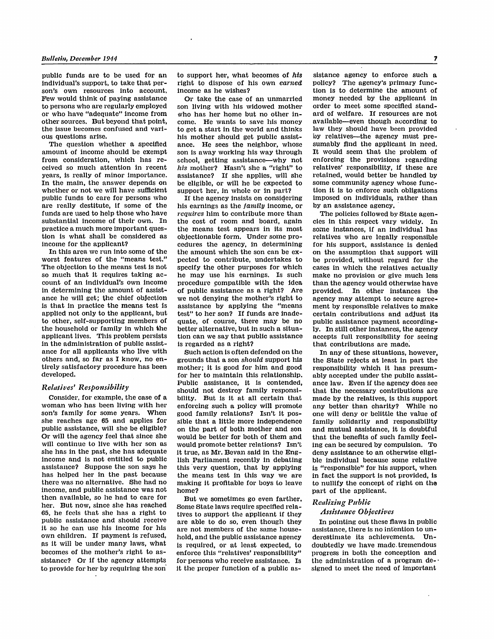**public funds are to be used for an individual's support, to take that person's own resources into account. Few would think of paying assistance to persons who are regularly employed or who have "adequate" income from other sources. But beyond that point, the issue becomes confused and vari-**

The question whether a specified<br>amount of income should be exempt from consideration, which has re**ceived so much attention in recent**  In the main, the answer depends on whether or not we will have sufficient public funds to care for persons who **are really destitute, if some of the funds are used to help those who have substantial income of their own. In practice a much more important question is what shall be considered as income for the applicant?** 

**In this area we run into some of the**  The objection to the means test is not **so much that it requires taking ac**in determining the amount of assist-<br>ance he will get; the chief objection is that in practice the means test is applied not only to the applicant, but **to other, self-supporting members of the household or family in which the applicant lives. This problem persists in the administration of public assistance for all applicants who live with others and, so far as I know, no entirely satisfactory procedure has been developed.** 

#### *Relatives' Responsibility*

**Consider, for example, the case of a**  woman who has been living with her<br>son's family for some years. When<br>she reaches age 65 and applies for<br>public assistance, will she be eligible?<br>Or will the agency feel that since she<br>will continue to live with her son as<br> **own children. If payment is refused, as it will be under many laws, what becomes of the mother's right to assistance? Or if the agency attempts to provide for her by requiring the son** 

**to support her, what becomes of** *his* **right to dispose of his own** *earned* **income as he wishes?** 

**Or take the case of an unmarried son living with his widowed mother who has her home but no other income. He wants to save his money to get a start in the world and thinks his mother should get public assistance. He sees the neighbor, whose**  school, getting assistance—why not *his* mother? **Hasn't** she a "right" to assistance? If she applies, will she be eligible, or will he be expected to support her, in whole or in part?

If the agency insists on considering<br>his earnings as the *family* income, or<br>*requires* him to contribute more than<br>the cost of room and board, again<br>the means test appears in its most<br>objectionable form. Under some pro**cedures the agency, in determining the amount which the son can be ex**specify the other purposes for which<br>he may use his earnings. Is such<br>procedure compatible with the idea **of public assistance as a right? Are**  assistance by applying the "means **test" to her son? If funds are inade**better alternative, but in such a situa**tion can we say that public assistance is regarded as a right?** 

grounds that a son *should* support his<br>mother; it is good for him and good<br>for her to maintain this relationship.<br>Public assistance, it is contended,<br>should not destroy family responsi-<br>bility. But is it at all certain th enforcing such a policy will promote **good family relations? Isn't it possible that a little more independence**  would be better for both of them and would promote better relations? Isn't it true, as Mr. Bevan said in the Eng-<br> **lish Parliament recently in debating** this very question, that by applying the means test in this way we are making it profitable for boys to leave home?

**But we sometimes go even farther. Some State laws require specified relatives to support the applicant if they are able to do so, even though they are not members of the same house**is required, or at least expected, to enforce this "relatives' responsibility" for persons who receive assistance. Is it the proper function of a public as-

**sistance agency to enforce such a policy? The agency's primary function is to determine the amount of money needed by the applicant in order to meet some specified stand**available—even though according to law they should have been provided by relatives—the agency must pre-<br>sumably flud the applicant in need. It would seem that the problem of enforcing the provisions regarding relatives' responsibility, if these are retained, would better be handled by **some community agency whose function it is to enforce such obligations imposed on individuals, rather than by an assistance agency.** 

**The policies followed by State agencies in this respect vary widely. In some instances, if an individual has relatives who are legally responsible for his support, assistance is denied on the assumption that support will be provided, without regard for the**  make no provision or give much less<br>than the agency would otherwise have<br>provided. In other instances the **agency may attempt to secure agreement by responsible relatives to make certain contributions and adjust its public assistance payment accordingly. In still other instances, the agency accepts full responsibility for seeing that contributions are made!** 

the State rejects at least in part the responsibility which it has presum**ably accepted under the public assist**that the necessary contributions are made by the relatives, is this support **any better than charity? While no one will deny or belittle the value of family solidarity and responsibility**  that the benefits of such family feel**ing can be secured by compulsion. To deny assistance to an otherwise eligi**is "responsible" for his support, when in fact the support is not provided, is **to nullify the concept of right on the part of the applicant.** 

# *Realizing Public*

In pointing out these flaws in public<br>assistance, there is no intention to underestimate its achievements. Undoubtedly we have made tremendous progress in both the conception and the administration of a program de-<br>signed to meet the need of important